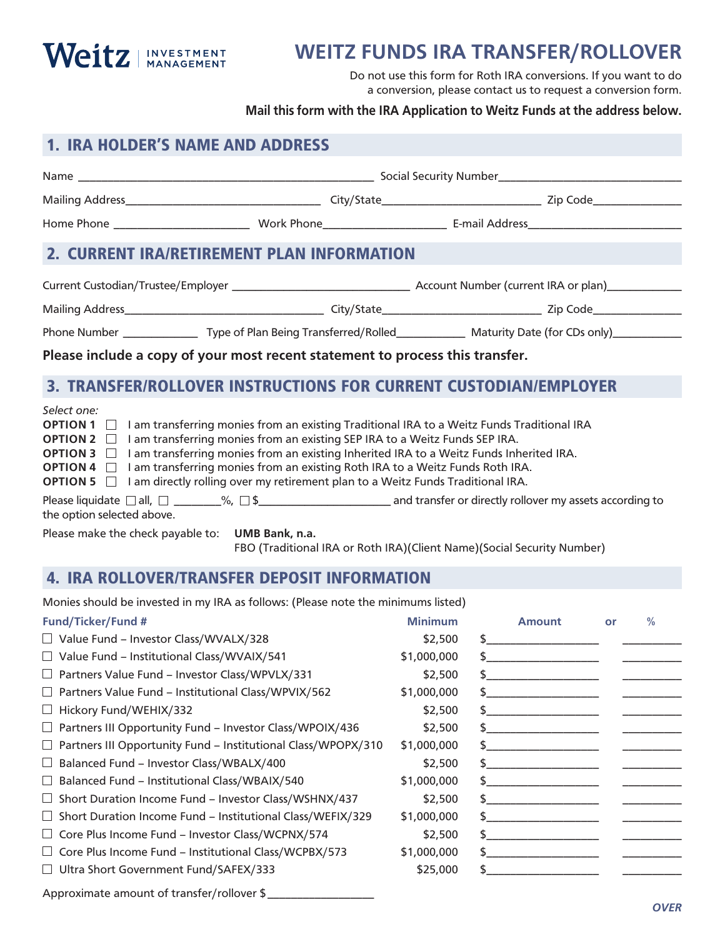

## **WEITZ FUNDS IRA TRANSFER/ROLLOVER**

Do not use this form for Roth IRA conversions. If you want to do a conversion, please contact us to request a conversion form.

## **Mail this form with the IRA Application to Weitz Funds at the address below.**

| <b>1. IRA HOLDER'S NAME AND ADDRESS</b>                                                                                                                                                       |                                                                                                                                                                                                                                                                                                                                            |                                                                                                                               |  |  |  |  |
|-----------------------------------------------------------------------------------------------------------------------------------------------------------------------------------------------|--------------------------------------------------------------------------------------------------------------------------------------------------------------------------------------------------------------------------------------------------------------------------------------------------------------------------------------------|-------------------------------------------------------------------------------------------------------------------------------|--|--|--|--|
|                                                                                                                                                                                               |                                                                                                                                                                                                                                                                                                                                            |                                                                                                                               |  |  |  |  |
|                                                                                                                                                                                               |                                                                                                                                                                                                                                                                                                                                            |                                                                                                                               |  |  |  |  |
|                                                                                                                                                                                               |                                                                                                                                                                                                                                                                                                                                            |                                                                                                                               |  |  |  |  |
| 2. CURRENT IRA/RETIREMENT PLAN INFORMATION                                                                                                                                                    |                                                                                                                                                                                                                                                                                                                                            |                                                                                                                               |  |  |  |  |
|                                                                                                                                                                                               |                                                                                                                                                                                                                                                                                                                                            |                                                                                                                               |  |  |  |  |
|                                                                                                                                                                                               |                                                                                                                                                                                                                                                                                                                                            |                                                                                                                               |  |  |  |  |
|                                                                                                                                                                                               |                                                                                                                                                                                                                                                                                                                                            | Phone Number ___________________Type of Plan Being Transferred/Rolled_______________ Maturity Date (for CDs only)____________ |  |  |  |  |
| Please include a copy of your most recent statement to process this transfer.                                                                                                                 |                                                                                                                                                                                                                                                                                                                                            |                                                                                                                               |  |  |  |  |
|                                                                                                                                                                                               |                                                                                                                                                                                                                                                                                                                                            | 3. TRANSFER/ROLLOVER INSTRUCTIONS FOR CURRENT CUSTODIAN/EMPLOYER                                                              |  |  |  |  |
| Select one:<br><b>OPTION 1</b> $\Box$ I am transferring monies from an existing Traditional IRA to a Weitz Funds Traditional IRA<br>OPTION 2 □<br>OPTION 3 $\Box$<br>OPTION 4 □<br>OPTION 5 □ | I am transferring monies from an existing SEP IRA to a Weitz Funds SEP IRA.<br>I am transferring monies from an existing Inherited IRA to a Weitz Funds Inherited IRA.<br>I am transferring monies from an existing Roth IRA to a Weitz Funds Roth IRA.<br>I am directly rolling over my retirement plan to a Weitz Funds Traditional IRA. |                                                                                                                               |  |  |  |  |
| the option selected above.                                                                                                                                                                    |                                                                                                                                                                                                                                                                                                                                            |                                                                                                                               |  |  |  |  |
| Please make the check payable to: UMB Bank, n.a.                                                                                                                                              |                                                                                                                                                                                                                                                                                                                                            | FBO (Traditional IRA or Roth IRA)(Client Name)(Social Security Number)                                                        |  |  |  |  |
| <b>4. IRA ROLLOVER/TRANSFER DEPOSIT INFORMATION</b>                                                                                                                                           |                                                                                                                                                                                                                                                                                                                                            |                                                                                                                               |  |  |  |  |
| Monies should be invested in my IRA as follows: (Please note the minimums listed)                                                                                                             |                                                                                                                                                                                                                                                                                                                                            |                                                                                                                               |  |  |  |  |

| <b>Fund/Ticker/Fund #</b>                                            | <b>Minimum</b> |    | <b>Amount</b> | or | $\frac{0}{0}$ |
|----------------------------------------------------------------------|----------------|----|---------------|----|---------------|
| $\Box$ Value Fund – Investor Class/WVALX/328                         | \$2,500        |    |               |    |               |
| $\Box$ Value Fund – Institutional Class/WVAIX/541                    | \$1,000,000    |    |               |    |               |
| $\Box$ Partners Value Fund – Investor Class/WPVLX/331                | \$2,500        |    |               |    |               |
| $\Box$ Partners Value Fund – Institutional Class/WPVIX/562           | \$1,000,000    |    |               |    |               |
| $\Box$ Hickory Fund/WEHIX/332                                        | \$2,500        | S. |               |    |               |
| $\Box$ Partners III Opportunity Fund – Investor Class/WPOIX/436      | \$2,500        |    |               |    |               |
| $\Box$ Partners III Opportunity Fund - Institutional Class/WPOPX/310 | \$1,000,000    |    |               |    |               |
| $\Box$ Balanced Fund – Investor Class/WBALX/400                      | \$2,500        |    |               |    |               |
| $\Box$ Balanced Fund – Institutional Class/WBAIX/540                 | \$1,000,000    | \$ |               |    |               |
| $\Box$ Short Duration Income Fund – Investor Class/WSHNX/437         | \$2,500        |    |               |    |               |
| $\Box$ Short Duration Income Fund - Institutional Class/WEFIX/329    | \$1,000,000    |    |               |    |               |
| $\Box$ Core Plus Income Fund – Investor Class/WCPNX/574              | \$2,500        | S. |               |    |               |
| $\Box$ Core Plus Income Fund – Institutional Class/WCPBX/573         | \$1,000,000    |    |               |    |               |
| $\Box$ Ultra Short Government Fund/SAFEX/333                         | \$25,000       |    |               |    |               |
| Approximate amount of transfer/rollover \$                           |                |    |               |    |               |